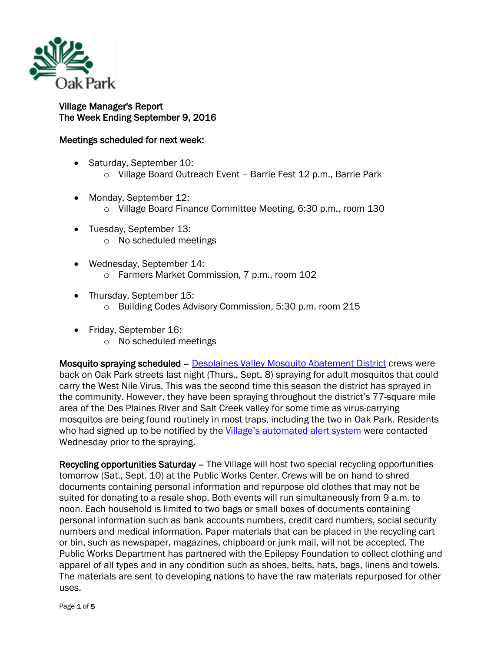

## Village Manager's Report The Week Ending September 9, 2016

## Meetings scheduled for next week:

- Saturday, September 10:
	- o Village Board Outreach Event Barrie Fest 12 p.m., Barrie Park
- Monday, September 12:
	- o Village Board Finance Committee Meeting, 6:30 p.m., room 130
- Tuesday, September 13:
	- o No scheduled meetings
- Wednesday, September 14: o Farmers Market Commission, 7 p.m., room 102
- Thursday, September 15:
	- o Building Codes Advisory Commission, 5:30 p.m. room 215
- Friday, September 16:
	- o No scheduled meetings

Mosquito spraying scheduled – [Desplaines Valley Mosquito Abatement District](http://www.desplainesvalleymad.com/) crews were back on Oak Park streets last night (Thurs., Sept. 8) spraying for adult mosquitos that could carry the West Nile Virus. This was the second time this season the district has sprayed in the community. However, they have been spraying throughout the district's 77-square mile area of the Des Plaines River and Salt Creek valley for some time as virus-carrying mosquitos are being found routinely in most traps, including the two in Oak Park. Residents who had signed up to be notified by the [Village's automated alert system](http://www.oak-park.us/online-services/community-notification-system) were contacted Wednesday prior to the spraying.

Recycling opportunities Saturday – The Village will host two special recycling opportunities tomorrow (Sat., Sept. 10) at the Public Works Center. Crews will be on hand to shred documents containing personal information and repurpose old clothes that may not be suited for donating to a resale shop. Both events will run simultaneously from 9 a.m. to noon. Each household is limited to two bags or small boxes of documents containing personal information such as bank accounts numbers, credit card numbers, social security numbers and medical information. Paper materials that can be placed in the recycling cart or bin, such as newspaper, magazines, chipboard or junk mail, will not be accepted. The Public Works Department has partnered with the Epilepsy Foundation to collect clothing and apparel of all types and in any condition such as shoes, belts, hats, bags, linens and towels. The materials are sent to developing nations to have the raw materials repurposed for other uses.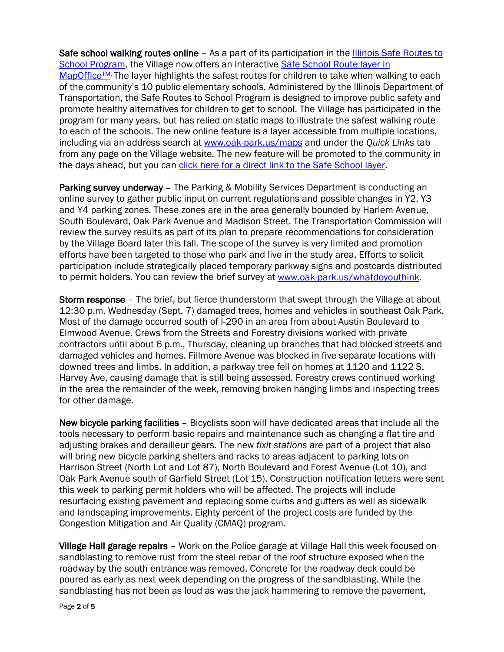Safe school walking routes online - As a part of its participation in the **Illinois Safe Routes to** [School Program,](http://www.idot.illinois.gov/transportation-system/local-transportation-partners/county-engineers-and-local-public-agencies/safe-routes-to-school/index) the Village now offers an interactive [Safe School Route layer in](https://apps.gisconsortium.org/MapOfficePublic/Default.aspx?extent=1116323.719,1890430.435,1148146.636,1913477.310&map=vector&co=Oak%20Park-Safe%20School%20Route-0)  MapOffice<sup>TM.</sup> The layer highlights the safest routes for children to take when walking to each of the community's 10 public elementary schools. Administered by the Illinois Department of Transportation, the Safe Routes to School Program is designed to improve public safety and promote healthy alternatives for children to get to school. The Village has participated in the program for many years, but has relied on static maps to illustrate the safest walking route to each of the schools. The new online feature is a layer accessible from multiple locations, including via an address search at [www.oak-park.us/maps](http://www.oak-park.us/maps) and under the *Quick Links* tab from any page on the Village website. The new feature will be promoted to the community in the days ahead, but you can [click here for a direct link to the Safe School layer.](https://apps.gisconsortium.org/MapOfficePublic/Default.aspx?extent=1116323.719,1890430.435,1148146.636,1913477.310&map=vector&co=Oak%20Park-Safe%20School%20Route-0)

Parking survey underway – The Parking & Mobility Services Department is conducting an online survey to gather public input on current regulations and possible changes in Y2, Y3 and Y4 parking zones. These zones are in the area generally bounded by Harlem Avenue, South Boulevard, Oak Park Avenue and Madison Street. The Transportation Commission will review the survey results as part of its plan to prepare recommendations for consideration by the Village Board later this fall. The scope of the survey is very limited and promotion efforts have been targeted to those who park and live in the study area. Efforts to solicit participation include strategically placed temporary parkway signs and postcards distributed to permit holders. You can review the brief survey at [www.oak-park.us/whatdoyouthink.](http://www.oak-park.us/whatdoyouthink)

Storm response – The brief, but fierce thunderstorm that swept through the Village at about 12:30 p.m. Wednesday (Sept. 7) damaged trees, homes and vehicles in southeast Oak Park. Most of the damage occurred south of I-290 in an area from about Austin Boulevard to Elmwood Avenue. Crews from the Streets and Forestry divisions worked with private contractors until about 6 p.m., Thursday, cleaning up branches that had blocked streets and damaged vehicles and homes. Fillmore Avenue was blocked in five separate locations with downed trees and limbs. In addition, a parkway tree fell on homes at 1120 and 1122 S. Harvey Ave, causing damage that is still being assessed. Forestry crews continued working in the area the remainder of the week, removing broken hanging limbs and inspecting trees for other damage.

New bicycle parking facilities – Bicyclists soon will have dedicated areas that include all the tools necessary to perform basic repairs and maintenance such as changing a flat tire and adjusting brakes and derailleur gears. The new *fixit stations* are part of a project that also will bring new bicycle parking shelters and racks to areas adjacent to parking lots on Harrison Street (North Lot and Lot 87), North Boulevard and Forest Avenue (Lot 10), and Oak Park Avenue south of Garfield Street (Lot 15). Construction notification letters were sent this week to parking permit holders who will be affected. The projects will include resurfacing existing pavement and replacing some curbs and gutters as well as sidewalk and landscaping improvements. Eighty percent of the project costs are funded by the Congestion Mitigation and Air Quality (CMAQ) program.

Village Hall garage repairs – Work on the Police garage at Village Hall this week focused on sandblasting to remove rust from the steel rebar of the roof structure exposed when the roadway by the south entrance was removed. Concrete for the roadway deck could be poured as early as next week depending on the progress of the sandblasting. While the sandblasting has not been as loud as was the jack hammering to remove the pavement,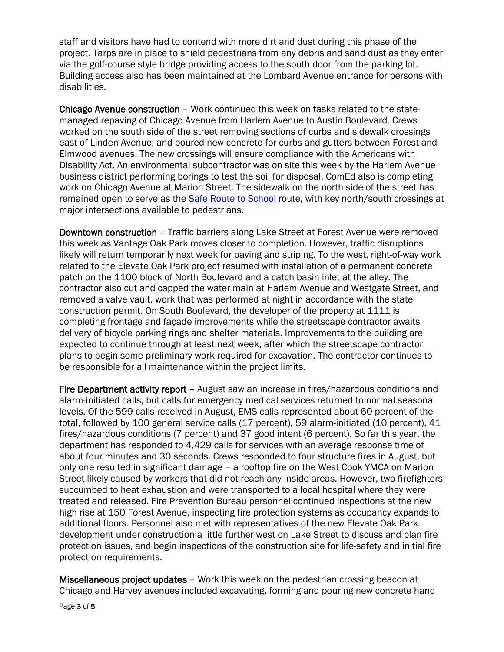staff and visitors have had to contend with more dirt and dust during this phase of the project. Tarps are in place to shield pedestrians from any debris and sand dust as they enter via the golf-course style bridge providing access to the south door from the parking lot. Building access also has been maintained at the Lombard Avenue entrance for persons with disabilities.

Chicago Avenue construction – Work continued this week on tasks related to the statemanaged repaving of Chicago Avenue from Harlem Avenue to Austin Boulevard. Crews worked on the south side of the street removing sections of curbs and sidewalk crossings east of Linden Avenue, and poured new concrete for curbs and gutters between Forest and Elmwood avenues. The new crossings will ensure compliance with the Americans with Disability Act. An environmental subcontractor was on site this week by the Harlem Avenue business district performing borings to test the soil for disposal. ComEd also is completing work on Chicago Avenue at Marion Street. The sidewalk on the north side of the street has remained open to serve as the **Safe Route to School** route, with key north/south crossings at major intersections available to pedestrians.

Downtown construction – Traffic barriers along Lake Street at Forest Avenue were removed this week as Vantage Oak Park moves closer to completion. However, traffic disruptions likely will return temporarily next week for paving and striping. To the west, right-of-way work related to the Elevate Oak Park project resumed with installation of a permanent concrete patch on the 1100 block of North Boulevard and a catch basin inlet at the alley. The contractor also cut and capped the water main at Harlem Avenue and Westgate Street, and removed a valve vault, work that was performed at night in accordance with the state construction permit. On South Boulevard, the developer of the property at 1111 is completing frontage and façade improvements while the streetscape contractor awaits delivery of bicycle parking rings and shelter materials. Improvements to the building are expected to continue through at least next week, after which the streetscape contractor plans to begin some preliminary work required for excavation. The contractor continues to be responsible for all maintenance within the project limits.

Fire Department activity report – August saw an increase in fires/hazardous conditions and alarm-initiated calls, but calls for emergency medical services returned to normal seasonal levels. Of the 599 calls received in August, EMS calls represented about 60 percent of the total, followed by 100 general service calls (17 percent), 59 alarm-initiated (10 percent), 41 fires/hazardous conditions (7 percent) and 37 good intent (6 percent). So far this year, the department has responded to 4,429 calls for services with an average response time of about four minutes and 30 seconds. Crews responded to four structure fires in August, but only one resulted in significant damage – a rooftop fire on the West Cook YMCA on Marion Street likely caused by workers that did not reach any inside areas. However, two firefighters succumbed to heat exhaustion and were transported to a local hospital where they were treated and released. Fire Prevention Bureau personnel continued inspections at the new high rise at 150 Forest Avenue, inspecting fire protection systems as occupancy expands to additional floors. Personnel also met with representatives of the new Elevate Oak Park development under construction a little further west on Lake Street to discuss and plan fire protection issues, and begin inspections of the construction site for life-safety and initial fire protection requirements.

Miscellaneous project updates – Work this week on the pedestrian crossing beacon at Chicago and Harvey avenues included excavating, forming and pouring new concrete hand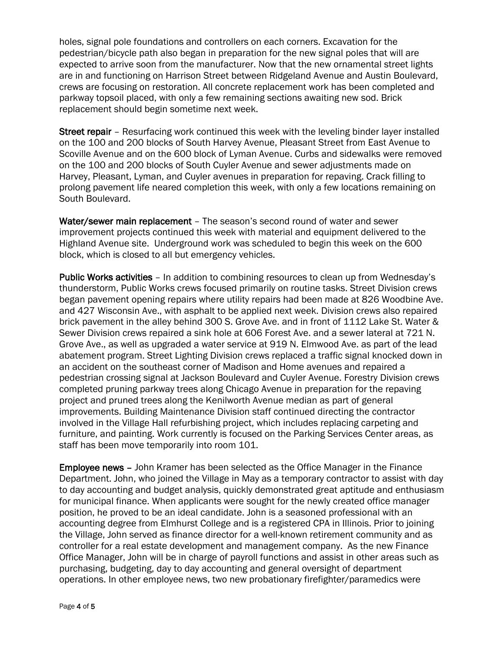holes, signal pole foundations and controllers on each corners. Excavation for the pedestrian/bicycle path also began in preparation for the new signal poles that will are expected to arrive soon from the manufacturer. Now that the new ornamental street lights are in and functioning on Harrison Street between Ridgeland Avenue and Austin Boulevard, crews are focusing on restoration. All concrete replacement work has been completed and parkway topsoil placed, with only a few remaining sections awaiting new sod. Brick replacement should begin sometime next week.

Street repair - Resurfacing work continued this week with the leveling binder layer installed on the 100 and 200 blocks of South Harvey Avenue, Pleasant Street from East Avenue to Scoville Avenue and on the 600 block of Lyman Avenue. Curbs and sidewalks were removed on the 100 and 200 blocks of South Cuyler Avenue and sewer adjustments made on Harvey, Pleasant, Lyman, and Cuyler avenues in preparation for repaving. Crack filling to prolong pavement life neared completion this week, with only a few locations remaining on South Boulevard.

Water/sewer main replacement – The season's second round of water and sewer improvement projects continued this week with material and equipment delivered to the Highland Avenue site. Underground work was scheduled to begin this week on the 600 block, which is closed to all but emergency vehicles.

Public Works activities – In addition to combining resources to clean up from Wednesday's thunderstorm, Public Works crews focused primarily on routine tasks. Street Division crews began pavement opening repairs where utility repairs had been made at 826 Woodbine Ave. and 427 Wisconsin Ave., with asphalt to be applied next week. Division crews also repaired brick pavement in the alley behind 300 S. Grove Ave. and in front of 1112 Lake St. Water & Sewer Division crews repaired a sink hole at 606 Forest Ave. and a sewer lateral at 721 N. Grove Ave., as well as upgraded a water service at 919 N. Elmwood Ave. as part of the lead abatement program. Street Lighting Division crews replaced a traffic signal knocked down in an accident on the southeast corner of Madison and Home avenues and repaired a pedestrian crossing signal at Jackson Boulevard and Cuyler Avenue. Forestry Division crews completed pruning parkway trees along Chicago Avenue in preparation for the repaving project and pruned trees along the Kenilworth Avenue median as part of general improvements. Building Maintenance Division staff continued directing the contractor involved in the Village Hall refurbishing project, which includes replacing carpeting and furniture, and painting. Work currently is focused on the Parking Services Center areas, as staff has been move temporarily into room 101.

Employee news – John Kramer has been selected as the Office Manager in the Finance Department. John, who joined the Village in May as a temporary contractor to assist with day to day accounting and budget analysis, quickly demonstrated great aptitude and enthusiasm for municipal finance. When applicants were sought for the newly created office manager position, he proved to be an ideal candidate. John is a seasoned professional with an accounting degree from Elmhurst College and is a registered CPA in Illinois. Prior to joining the Village, John served as finance director for a well-known retirement community and as controller for a real estate development and management company. As the new Finance Office Manager, John will be in charge of payroll functions and assist in other areas such as purchasing, budgeting, day to day accounting and general oversight of department operations. In other employee news, two new probationary firefighter/paramedics were